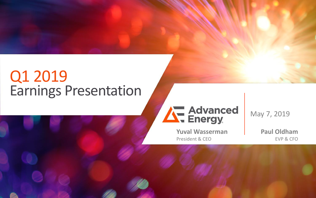# Q1 2019 Earnings Presentation

# **Advanced**<br> **Advanced**

**Yuval Wasserman** President & CEO

May 7, 2019

**Paul Oldham** EVP & CFO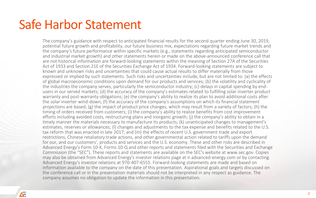### Safe Harbor Statement

The company's guidance with respect to anticipated financial results for the second quarter ending June 30, 2019, potential future growth and profitability, our future business mix, expectations regarding future market trends and the company's future performance within specific markets (e.g., statements regarding anticipated semiconductor and industrial market growth) and other statements herein or made on the above-announced conference call that are not historical information are forward-looking statements within the meaning of Section 27A of the Securities Act of 1933 and Section 21E of the Securities Exchange Act of 1934. Forward-looking statements are subject to known and unknown risks and uncertainties that could cause actual results to differ materially from those expressed or implied by such statements. Such risks and uncertainties include, but are not limited to: (a) the effects of global macroeconomic conditions upon demand for our products and services; (b) the volatility and cyclicality of the industries the company serves, particularly the semiconductor industry; (c) delays in capital spending by endusers in our served markets; (d) the accuracy of the company's estimates related to fulfilling solar inverter product warranty and post-warranty obligations; (e) the company's ability to realize its plan to avoid additional costs after the solar inverter wind-down; (f) the accuracy of the company's assumptions on which its financial statement projections are based; (g) the impact of product price changes, which may result from a variety of factors; (h) the timing of orders received from customers; (i) the company's ability to realize benefits from cost improvement efforts including avoided costs, restructuring plans and inorganic growth; (j) the company's ability to obtain in a timely manner the materials necessary to manufacture its products; (k) unanticipated changes to management's estimates, reserves or allowances; (l) changes and adjustments to the tax expense and benefits related to the U.S. tax reform that was enacted in late 2017; and (m) the effects of recent U.S. government trade and export restrictions, Chinese retaliatory trade actions, and other governmental action related to tariffs upon the demand for our, and our customers', products and services and the U.S. economy. These and other risks are described in Advanced Energy's Form 10-K, Forms 10-Q and other reports and statements filed with the Securities and Exchange Commission (the "SEC"). These reports and statements are available on the SEC's website at www.sec.gov. Copies may also be obtained from Advanced Energy's investor relations page at ir.advanced-energy.com or by contacting Advanced Energy's investor relations at 970-407-6555. Forward-looking statements are made and based on information available to the company on the date of this presentation. Aspirational goals and targets discussed on the conference call or in the presentation materials should not be interpreted in any respect as guidance. The company assumes no obligation to update the information in this presentation.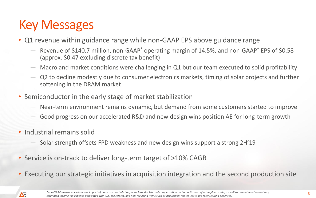# Key Messages

- Q1 revenue within guidance range while non-GAAP EPS above guidance range
	- ― Revenue of \$140.7 million, non-GAAP\* operating margin of 14.5%, and non-GAAP\* EPS of \$0.58 (approx. \$0.47 excluding discrete tax benefit)
	- Macro and market conditions were challenging in Q1 but our team executed to solid profitability
	- ― Q2 to decline modestly due to consumer electronics markets, timing of solar projects and further softening in the DRAM market
- Semiconductor in the early stage of market stabilization
	- ― Near-term environment remains dynamic, but demand from some customers started to improve
	- ― Good progress on our accelerated R&D and new design wins position AE for long-term growth
- Industrial remains solid
	- ― Solar strength offsets FPD weakness and new design wins support a strong 2H'19
- Service is on-track to deliver long-term target of >10% CAGR
- Executing our strategic initiatives in acquisition integration and the second production site

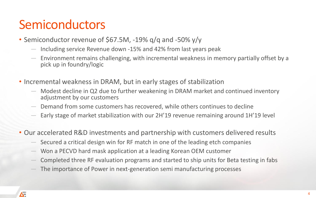# **Semiconductors**

- Semiconductor revenue of \$67.5M, -19% q/q and -50% y/y
	- ― Including service Revenue down -15% and 42% from last years peak
	- ― Environment remains challenging, with incremental weakness in memory partially offset by a pick up in foundry/logic
- Incremental weakness in DRAM, but in early stages of stabilization
	- ― Modest decline in Q2 due to further weakening in DRAM market and continued inventory adjustment by our customers
	- ― Demand from some customers has recovered, while others continues to decline
	- ― Early stage of market stabilization with our 2H'19 revenue remaining around 1H'19 level
- Our accelerated R&D investments and partnership with customers delivered results
	- Secured a critical design win for RF match in one of the leading etch companies
	- Won a PECVD hard mask application at a leading Korean OEM customer
	- ― Completed three RF evaluation programs and started to ship units for Beta testing in fabs
	- The importance of Power in next-generation semi manufacturing processes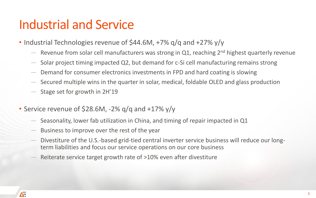## Industrial and Service

- Industrial Technologies revenue of \$44.6M, +7% q/q and +27% y/y
	- Revenue from solar cell manufacturers was strong in Q1, reaching  $2^{nd}$  highest quarterly revenue
	- $-$  Solar project timing impacted Q2, but demand for c-Si cell manufacturing remains strong
	- ― Demand for consumer electronics investments in FPD and hard coating is slowing
	- ― Secured multiple wins in the quarter in solar, medical, foldable OLED and glass production
	- ― Stage set for growth in 2H'19
- Service revenue of \$28.6M, -2% q/q and +17% y/y
	- $\sim$  Seasonality, lower fab utilization in China, and timing of repair impacted in Q1
	- ― Business to improve over the rest of the year
	- ― Divestiture of the U.S.-based grid-tied central inverter service business will reduce our longterm liabilities and focus our service operations on our core business
	- Reiterate service target growth rate of >10% even after divestiture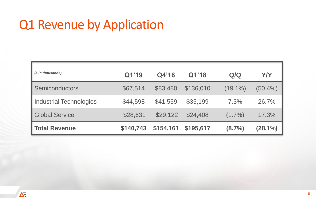# Q1 Revenue by Application

| (\$ in thousands)              | Q1'19     | Q4'18     | Q1'18     | Q/Q        | <b>Y/Y</b> |
|--------------------------------|-----------|-----------|-----------|------------|------------|
| <b>Semiconductors</b>          | \$67,514  | \$83,480  | \$136,010 | $(19.1\%)$ | $(50.4\%)$ |
| <b>Industrial Technologies</b> | \$44,598  | \$41,559  | \$35,199  | 7.3%       | 26.7%      |
| <b>Global Service</b>          | \$28,631  | \$29,122  | \$24,408  | $(1.7\%)$  | 17.3%      |
| <b>Total Revenue</b>           | \$140,743 | \$154,161 | \$195,617 | (8.7%)     | (28.1%)    |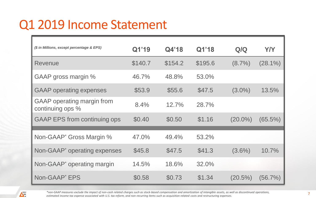# Q1 2019 Income Statement

| (\$ in Millions, except percentage & EPS)      | Q1'19   | Q4'18   | Q1'18   | Q/Q        | <b>Y/Y</b> |
|------------------------------------------------|---------|---------|---------|------------|------------|
| Revenue                                        | \$140.7 | \$154.2 | \$195.6 | $(8.7\%)$  | $(28.1\%)$ |
| GAAP gross margin %                            | 46.7%   | 48.8%   | 53.0%   |            |            |
| <b>GAAP</b> operating expenses                 | \$53.9  | \$55.6  | \$47.5  | $(3.0\%)$  | 13.5%      |
| GAAP operating margin from<br>continuing ops % | 8.4%    | 12.7%   | 28.7%   |            |            |
| <b>GAAP EPS from continuing ops</b>            | \$0.40  | \$0.50  | \$1.16  | $(20.0\%)$ | $(65.5\%)$ |
| Non-GAAP <sup>*</sup> Gross Margin %           | 47.0%   | 49.4%   | 53.2%   |            |            |
| Non-GAAP <sup>*</sup> operating expenses       | \$45.8  | \$47.5  | \$41.3  | $(3.6\%)$  | 10.7%      |
| Non-GAAP <sup>*</sup> operating margin         | 14.5%   | 18.6%   | 32.0%   |            |            |
| Non-GAAP <sup>*</sup> EPS                      | \$0.58  | \$0.73  | \$1.34  | (20.5%)    | (56.7%)    |

Æ

*\*non-GAAP measures exclude the impact of non-cash related charges such as stock-based compensation and amortization of intangible assets, as well as discontinued operations, estimated income tax expense associated with U.S. tax reform, and non-recurring items such as acquisition-related costs and restructuring expenses.*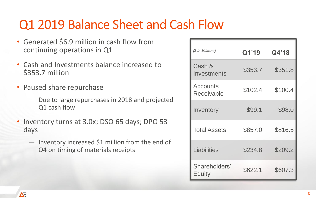# Q1 2019 Balance Sheet and Cash Flow

- Generated \$6.9 million in cash flow from continuing operations in Q1
- Cash and Investments balance increased to \$353.7 million
- Paused share repurchase
	- ― Due to large repurchases in 2018 and projected Q1 cash flow
- Inventory turns at 3.0x; DSO 65 days; DPO 53 days
	- Inventory increased \$1 million from the end of Q4 on timing of materials receipts

| (\$ in Millions)               | Q1'19   | Q4'18   |
|--------------------------------|---------|---------|
| Cash &<br>Investments          | \$353.7 | \$351.8 |
| <b>Accounts</b><br>Receivable  | \$102.4 | \$100.4 |
| Inventory                      | \$99.1  | \$98.0  |
| <b>Total Assets</b>            | \$857.0 | \$816.5 |
| Liabilities                    | \$234.8 | \$209.2 |
| Shareholders'<br><b>Equity</b> | \$622.1 | \$607.3 |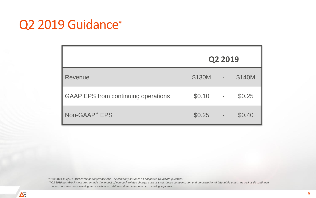### Q2 2019 Guidance\*

|                                            | Q2 2019 |                          |        |  |  |  |
|--------------------------------------------|---------|--------------------------|--------|--|--|--|
| Revenue                                    | \$130M  | $\qquad \qquad -$        | \$140M |  |  |  |
| <b>GAAP EPS from continuing operations</b> | \$0.10  | $\overline{\phantom{0}}$ | \$0.25 |  |  |  |
| Non-GAAP** EPS                             | \$0.25  | $\qquad \qquad -$        | \$0.40 |  |  |  |

*\*Estimates as of Q1 2019 earnings conference call. The company assumes no obligation to update guidance.* 

*\*\*Q2 2019 non-GAAP measures exclude the impact of non-cash related charges such as stock-based compensation and amortization of intangible assets, as well as discontinued operations and non-recurring items such as acquisition-related costs and restructuring expenses.*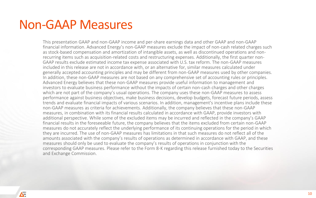### Non-GAAP Measures

This presentation GAAP and non-GAAP income and per-share earnings data and other GAAP and non-GAAP financial information. Advanced Energy's non-GAAP measures exclude the impact of non-cash related charges such as stock-based compensation and amortization of intangible assets, as well as discontinued operations and nonrecurring items such as acquisition-related costs and restructuring expenses. Additionally, the first quarter non-GAAP results exclude estimated income tax expense associated with U.S. tax reform. The non-GAAP measures included in this release are not in accordance with, or an alternative for, similar measures calculated under generally accepted accounting principles and may be different from non-GAAP measures used by other companies. In addition, these non-GAAP measures are not based on any comprehensive set of accounting rules or principles. Advanced Energy believes that these non-GAAP measures provide useful information to management and investors to evaluate business performance without the impacts of certain non-cash charges and other charges which are not part of the company's usual operations. The company uses these non-GAAP measures to assess performance against business objectives, make business decisions, develop budgets, forecast future periods, assess trends and evaluate financial impacts of various scenarios. In addition, management's incentive plans include these non-GAAP measures as criteria for achievements. Additionally, the company believes that these non-GAAP measures, in combination with its financial results calculated in accordance with GAAP, provide investors with additional perspective. While some of the excluded items may be incurred and reflected in the company's GAAP financial results in the foreseeable future, the company believes that the items excluded from certain non-GAAP measures do not accurately reflect the underlying performance of its continuing operations for the period in which they are incurred. The use of non-GAAP measures has limitations in that such measures do not reflect all of the amounts associated with the company's results of operations as determined in accordance with GAAP, and these measures should only be used to evaluate the company's results of operations in conjunction with the corresponding GAAP measures. Please refer to the Form 8-K regarding this release furnished today to the Securities and Exchange Commission.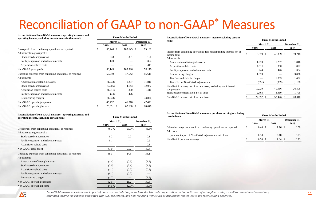# Reconciliation of GAAP to non-GAAP\* Measures

#### **Reconciliation of Non-GAAP measure - operating expenses and operating income, excluding certain items (in thousands) Three Months Ended**

|                                                            | March 31. |           |            | December 31,       |  |
|------------------------------------------------------------|-----------|-----------|------------|--------------------|--|
|                                                            |           | 2019      | 2018       | 2018               |  |
| Gross profit from continuing operations, as reported       | \$        | 65,740 \$ | 103,645 \$ | 75,188             |  |
| Adjustments to gross profit:                               |           |           |            |                    |  |
| Stock-based compensation                                   |           | 233       | 351        | 166                |  |
| Facility expansion and relocation costs                    |           | 170       |            | 354                |  |
| Acquisition-related costs                                  |           |           |            | 411                |  |
| Non-GAAP gross profit                                      |           | 66,143    | 103,996    | 76,119             |  |
| Operating expenses from continuing operations, as reported |           | 53,949    | 47,542     | 55,618             |  |
| Adjustments:                                               |           |           |            |                    |  |
| Amortization of intangible assets                          |           | (1,973)   | (1,257)    | (1,816)            |  |
| Stock-based compensation                                   |           | (2,966)   | (4,143)    | (2,077)            |  |
| Acquisition-related costs                                  |           | (1,511)   | (350)      | (416)              |  |
| Facility expansion and relocation costs                    |           | (74)      | (476)      |                    |  |
| Restructuring charges                                      |           | (1,673)   |            | (3,836)            |  |
| Non-GAAP operating expenses                                |           | 45,752    | 41,316     | 47,473             |  |
| Non-GAAP operating income                                  | \$        | 20.391 \$ | 62.680     | 28,646<br><b>S</b> |  |

#### **Reconciliation of Non-GAAP measure - operating expenses and operating income, excluding certain items Three Months Ended**

|                                                            | March 31. | December 31, |       |
|------------------------------------------------------------|-----------|--------------|-------|
|                                                            | 2019      | 2018         | 2018  |
| Gross profit from continuing operations, as reported       | 46.7%     | 53.0%        | 48.8% |
| Adjustments to gross profit:                               |           |              |       |
| Stock-based compensation                                   | 0.2       | 0.2          | 0.1   |
| Facility expansion and relocation costs                    | 0.1       |              | 0.2   |
| Acquisition-related costs                                  |           |              | 0.3   |
| Non-GAAP gross profit                                      | 47.0      | 53.2         | 49.4  |
| Operating expenses from continuing operations, as reported | 38.3      | 24.3         | 36.1  |
| Adjustments:                                               |           |              |       |
| Amortization of intangible assets                          | (1.4)     | (0.6)        | (1.2) |
| Stock-based compensation                                   | (2.0)     | (2.1)        | (1.3) |
| Acquisition-related costs                                  | (1.1)     | (0.2)        | (0.3) |
| Facility expansion and relocation costs                    | (0.1)     | (0.2)        |       |
| Restructuring charges                                      | (1.2)     |              | (2.5) |
| Non-GAAP operating expenses                                | 32.5      | 21.2         | 30.8  |
| Non-GAAP operating income                                  | 14.5%     | 32.0%        | 18.6% |

### **Reconciliation of Non-GAAP measure - income excluding certain**

|    |           |           | December 31, |  |  |  |
|----|-----------|-----------|--------------|--|--|--|
|    | 2019      | 2018      | 2018         |  |  |  |
| \$ | 15.379 \$ | 46.339 \$ | 19,218       |  |  |  |
|    | 1.973     | 1,257     | 1,816        |  |  |  |
|    | 1,511     | 350       | 827          |  |  |  |
|    | 244       | 476       | 354          |  |  |  |
|    | 1,673     |           | 3,836        |  |  |  |
|    |           | 1,853     | 1,452        |  |  |  |
|    | (851)     | (309)     | (1, 198)     |  |  |  |
|    | 19.929    | 49,966    | 26,305       |  |  |  |
|    | 2,463     | 3.460     | 1,705        |  |  |  |
|    | 22,392    | 53,426    | 28,010       |  |  |  |
|    |           |           | March 31.    |  |  |  |

**Three Months Ended** 

#### **Reconciliation of Non-GAAP measure - per share earnings excluding**

| certain items                                                      |  | <b>Three Months Ended</b> |  |       |  |              |  |  |
|--------------------------------------------------------------------|--|---------------------------|--|-------|--|--------------|--|--|
|                                                                    |  | March 31.                 |  |       |  | December 31. |  |  |
|                                                                    |  | 2019                      |  | 2018  |  | 2018         |  |  |
| Diluted earnings per share from continuing operations, as reported |  | $0.40 \text{ }$ \$        |  | 1.16S |  | 0.50         |  |  |
| Add back:                                                          |  |                           |  |       |  |              |  |  |
| per share impact of Non-GAAP adjustments, net of tax               |  | 0.18                      |  | 0.18  |  | 0.23         |  |  |
| Non-GAAP per share earnings                                        |  | 0.58                      |  | 1.34  |  | 0.73         |  |  |



11 11 *\*non-GAAP measures exclude the impact of non-cash related charges such as stock-based compensation and amortization of intangible assets, as well as discontinued operations, estimated income tax expense associated with U.S. tax reform, and non-recurring items such as acquisition-related costs and restructuring expenses.*